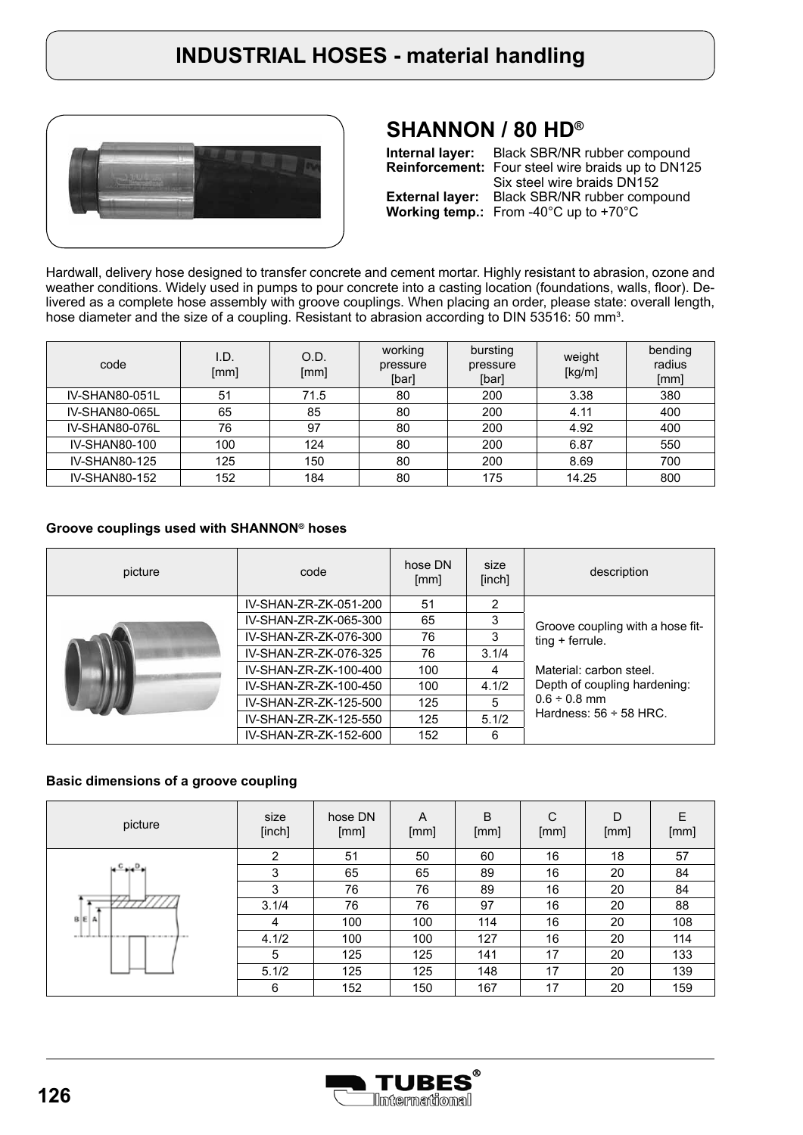

## **SHANNON / 80 HD®**

**Internal layer:** Black SBR/NR rubber compound **Reinforcement:** Four steel wire braids up to DN125 **External layer:** Black SBR/NR rubber compound **Working temp.:** From -40°C up to +70°C Six steel wire braids DN152

Hardwall, delivery hose designed to transfer concrete and cement mortar. Highly resistant to abrasion, ozone and weather conditions. Widely used in pumps to pour concrete into a casting location (foundations, walls, floor). Delivered as a complete hose assembly with groove couplings. When placing an order, please state: overall length, hose diameter and the size of a coupling. Resistant to abrasion according to DIN 53516: 50 mm<sup>3</sup>.

| code                 | I.D.<br>[mm] | O.D.<br>[mm] | working<br>pressure<br>[bar] | bursting<br>pressure<br>[bar] | weight<br>[kg/m] | bending<br>radius<br>[mm] |
|----------------------|--------------|--------------|------------------------------|-------------------------------|------------------|---------------------------|
| IV-SHAN80-051L       | 51           | 71.5         | 80                           | 200                           | 3.38             | 380                       |
| IV-SHAN80-065L       | 65           | 85           | 80                           | 200                           | 4.11             | 400                       |
| IV-SHAN80-076L       | 76           | 97           | 80                           | 200                           | 4.92             | 400                       |
| IV-SHAN80-100        | 100          | 124          | 80                           | 200                           | 6.87             | 550                       |
| <b>IV-SHAN80-125</b> | 125          | 150          | 80                           | 200                           | 8.69             | 700                       |
| IV-SHAN80-152        | 152          | 184          | 80                           | 175                           | 14.25            | 800                       |

#### **Groove couplings used with SHANNON® hoses**

| picture | code                  | hose DN<br>[mm] | size<br>[inch] | description                      |  |  |
|---------|-----------------------|-----------------|----------------|----------------------------------|--|--|
|         | IV-SHAN-ZR-ZK-051-200 | 51              | 2              |                                  |  |  |
|         | IV-SHAN-ZR-ZK-065-300 | 65              | 3              | Groove coupling with a hose fit- |  |  |
|         | IV-SHAN-ZR-ZK-076-300 | 76              | 3              | $ting + ferrule.$                |  |  |
|         | IV-SHAN-ZR-ZK-076-325 | 76              | 3.1/4          |                                  |  |  |
|         | IV-SHAN-ZR-ZK-100-400 | 100             | 4              | Material: carbon steel.          |  |  |
|         | IV-SHAN-ZR-ZK-100-450 | 100             | 4.1/2          | Depth of coupling hardening:     |  |  |
|         | IV-SHAN-ZR-ZK-125-500 | 125             | 5              | $0.6 \div 0.8$ mm                |  |  |
|         | IV-SHAN-ZR-ZK-125-550 | 125             | 5.1/2          | Hardness: $56 \div 58$ HRC.      |  |  |
|         | IV-SHAN-ZR-ZK-152-600 | 152             | 6              |                                  |  |  |

#### **Basic dimensions of a groove coupling**

| picture                                             | size<br>[inch] | hose DN<br>[mm] | A<br>[mm] | B<br>[mm] | C<br>[mm] | D<br>[mm] | Ε<br>[mm] |
|-----------------------------------------------------|----------------|-----------------|-----------|-----------|-----------|-----------|-----------|
|                                                     | 2              | 51              | 50        | 60        | 16        | 18        | 57        |
| $C_{\text{min}}$                                    | 3              | 65              | 65        | 89        | 16        | 20        | 84        |
|                                                     | 3              | 76              | 76        | 89        | 16        | 20        | 84        |
|                                                     | 3.1/4          | 76              | 76        | 97        | 16        | 20        | 88        |
| $B \nE A$                                           | 4              | 100             | 100       | 114       | 16        | 20        | 108       |
| and the confidence that a most<br><b>CONTRACTOR</b> | 4.1/2          | 100             | 100       | 127       | 16        | 20        | 114       |
|                                                     | 5              | 125             | 125       | 141       | 17        | 20        | 133       |
|                                                     | 5.1/2          | 125             | 125       | 148       | 17        | 20        | 139       |
|                                                     | 6              | 152             | 150       | 167       | 17        | 20        | 159       |